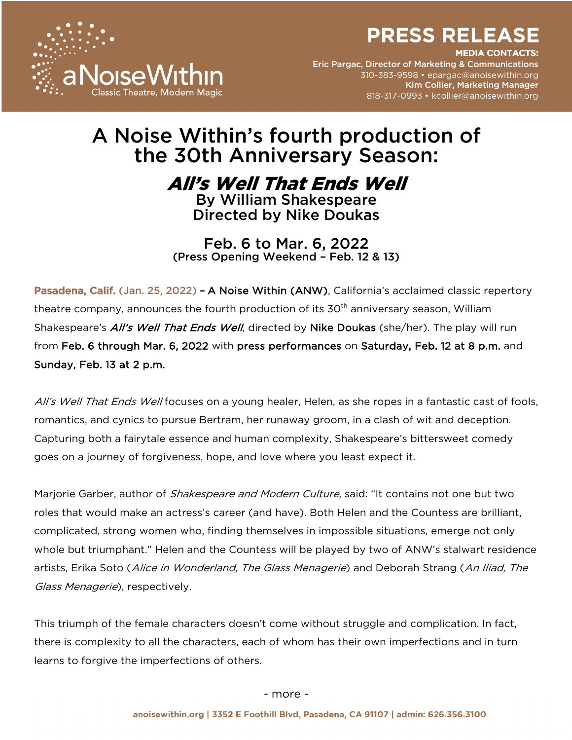

EDIA CONTACTS:

Eric Pargac, Director of Marketing & Communications 310-383-9598 • epargac@anoisewithin.org Kim Collier, Marketing Manager 818-317-0993 • kcollier@anoisewithin.org

# A Noise Within's fourth production of the 30th Anniversary Season:

All's Well That Ends Well By William Shakespeare

Directed by Nike Doukas

Feb. 6 to Mar. 6, 2022 (Press Opening Weekend – Feb. 12 & 13)

Pasadena, Calif. (Jan. 25, 2022) - A Noise Within (ANW), California's acclaimed classic repertory theatre company, announces the fourth production of its 30<sup>th</sup> anniversary season, William Shakespeare's All's Well That Ends Well, directed by Nike Doukas (she/her). The play will run from Feb. 6 through Mar. 6, 2022 with press performances on Saturday, Feb. 12 at 8 p.m. and Sunday, Feb. 13 at 2 p.m.

All's Well That Ends Well focuses on a young healer, Helen, as she ropes in a fantastic cast of fools, romantics, and cynics to pursue Bertram, her runaway groom, in a clash of wit and deception. Capturing both a fairytale essence and human complexity, Shakespeare's bittersweet comedy goes on a journey of forgiveness, hope, and love where you least expect it.

Marjorie Garber, author of *Shakespeare and Modern Culture*, said: "It contains not one but two roles that would make an actress's career (and have). Both Helen and the Countess are brilliant, complicated, strong women who, finding themselves in impossible situations, emerge not only whole but triumphant." Helen and the Countess will be played by two of ANW's stalwart residence artists, Erika Soto (*Alice in Wonderland, The Glass Menagerie*) and Deborah Strang (*An Iliad, The* Glass Menagerie), respectively.

This triumph of the female characters doesn't come without struggle and complication. In fact, there is complexity to all the characters, each of whom has their own imperfections and in turn learns to forgive the imperfections of others.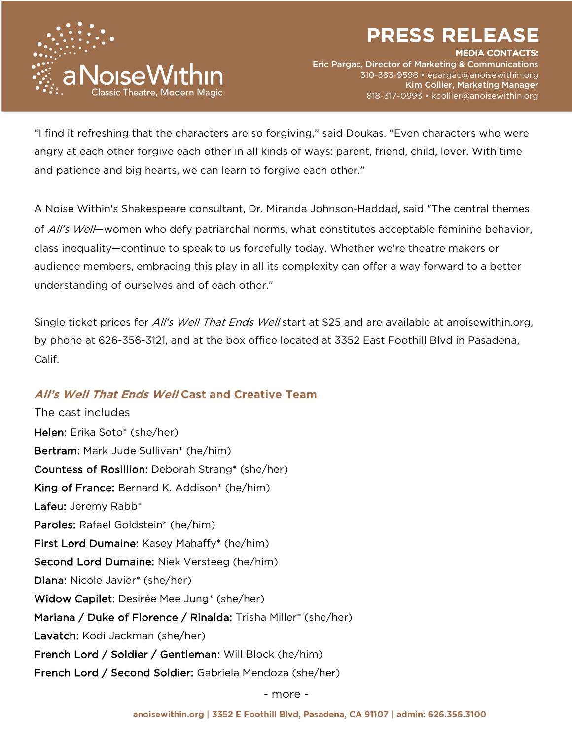

IEDIA CONTACTS:

Eric Pargac, Director of Marketing & Communications 310-383-9598 • epargac@anoisewithin.org Kim Collier, Marketing Manager 818-317-0993 • kcollier@anoisewithin.org

"I find it refreshing that the characters are so forgiving," said Doukas. "Even characters who were angry at each other forgive each other in all kinds of ways: parent, friend, child, lover. With time and patience and big hearts, we can learn to forgive each other."

A Noise Within's Shakespeare consultant, Dr. Miranda Johnson-Haddad, said "The central themes of *All's Well*—women who defy patriarchal norms, what constitutes acceptable feminine behavior, class inequality—continue to speak to us forcefully today. Whether we're theatre makers or audience members, embracing this play in all its complexity can offer a way forward to a better understanding of ourselves and of each other."

Single ticket prices for *All's Well That Ends Well* start at \$25 and are available at anoisewithin.org, by phone at 626-356-3121, and at the box office located at 3352 East Foothill Blvd in Pasadena, Calif.

# **All's Well That Ends Well Cast and Creative Team**

The cast includes Helen: Erika Soto\* (she/her) Bertram: Mark Jude Sullivan\* (he/him) Countess of Rosillion: Deborah Strang\* (she/her) King of France: Bernard K. Addison\* (he/him) Lafeu: Jeremy Rabb\* Paroles: Rafael Goldstein\* (he/him) First Lord Dumaine: Kasey Mahaffy\* (he/him) Second Lord Dumaine: Niek Versteeg (he/him) Diana: Nicole Javier\* (she/her) Widow Capilet: Desirée Mee Jung\* (she/her) Mariana / Duke of Florence / Rinalda: Trisha Miller\* (she/her) Lavatch: Kodi Jackman (she/her) French Lord / Soldier / Gentleman: Will Block (he/him) French Lord / Second Soldier: Gabriela Mendoza (she/her)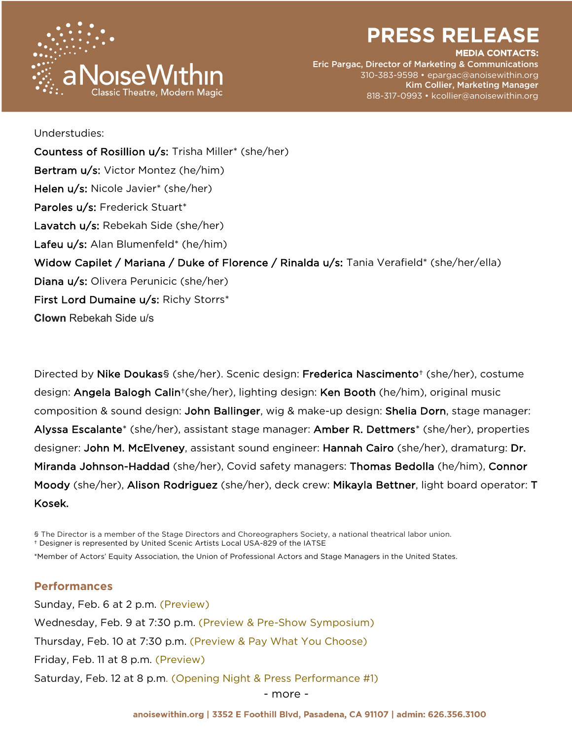

#### EDIA CONTACTS:

Eric Pargac, Director of Marketing & Communications 310-383-9598 • epargac@anoisewithin.org Kim Collier, Marketing Manager 818-317-0993 • kcollier@anoisewithin.org

Understudies: Countess of Rosillion u/s: Trisha Miller\* (she/her) Bertram u/s: Victor Montez (he/him) Helen u/s: Nicole Javier\* (she/her) Paroles u/s: Frederick Stuart<sup>\*</sup> Lavatch u/s: Rebekah Side (she/her) Lafeu u/s: Alan Blumenfeld\* (he/him) Widow Capilet / Mariana / Duke of Florence / Rinalda u/s: Tania Verafield\* (she/her/ella) Diana u/s: Olivera Perunicic (she/her) First Lord Dumaine u/s: Richy Storrs\* **Clown** Rebekah Side u/s

Directed by Nike Doukas§ (she/her). Scenic design: Frederica Nascimento† (she/her), costume design: Angela Balogh Calin†(she/her), lighting design: Ken Booth (he/him), original music composition & sound design: John Ballinger, wig & make-up design: Shelia Dorn, stage manager: Alyssa Escalante\* (she/her), assistant stage manager: Amber R. Dettmers\* (she/her), properties designer: John M. McElveney, assistant sound engineer: Hannah Cairo (she/her), dramaturg: Dr. Miranda Johnson-Haddad (she/her), Covid safety managers: Thomas Bedolla (he/him), Connor Moody (she/her), Alison Rodriguez (she/her), deck crew: Mikayla Bettner, light board operator: T Kosek.

§ The Director is a member of the Stage Directors and Choreographers Society, a national theatrical labor union. † Designer is represented by United Scenic Artists Local USA-829 of the IATSE

\*Member of Actors' Equity Association, the Union of Professional Actors and Stage Managers in the United States.

### **Performances**

Sunday, Feb. 6 at 2 p.m. (Preview) Wednesday, Feb. 9 at 7:30 p.m. (Preview & Pre-Show Symposium) Thursday, Feb. 10 at 7:30 p.m. (Preview & Pay What You Choose) Friday, Feb. 11 at 8 p.m. (Preview) Saturday, Feb. 12 at 8 p.m. (Opening Night & Press Performance #1)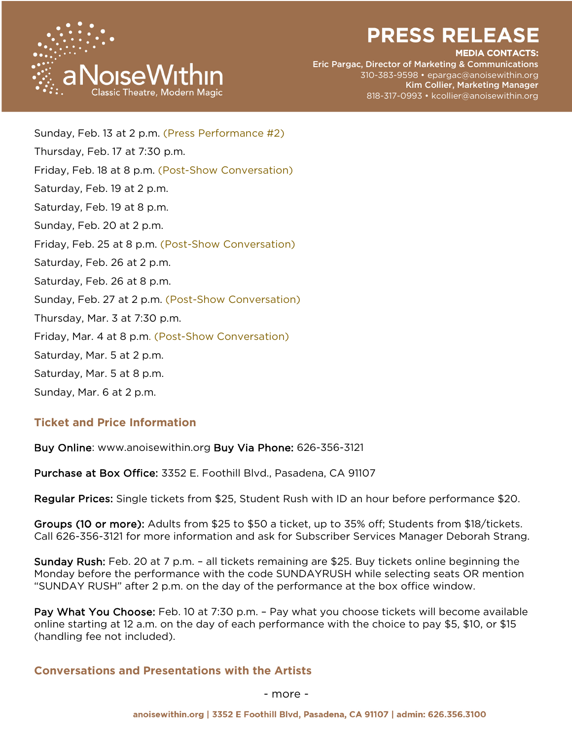

#### IEDIA CONTACTS:

Eric Pargac, Director of Marketing & Communications 310-383-9598 • epargac@anoisewithin.org Kim Collier, Marketing Manager 818-317-0993 • kcollier@anoisewithin.org

Sunday, Feb. 13 at 2 p.m. (Press Performance #2) Thursday, Feb. 17 at 7:30 p.m. Friday, Feb. 18 at 8 p.m. (Post-Show Conversation) Saturday, Feb. 19 at 2 p.m. Saturday, Feb. 19 at 8 p.m. Sunday, Feb. 20 at 2 p.m. Friday, Feb. 25 at 8 p.m. (Post-Show Conversation) Saturday, Feb. 26 at 2 p.m. Saturday, Feb. 26 at 8 p.m. Sunday, Feb. 27 at 2 p.m. (Post-Show Conversation) Thursday, Mar. 3 at 7:30 p.m. Friday, Mar. 4 at 8 p.m. (Post-Show Conversation) Saturday, Mar. 5 at 2 p.m. Saturday, Mar. 5 at 8 p.m. Sunday, Mar. 6 at 2 p.m.

## **Ticket and Price Information**

Buy Online: www.anoisewithin.org Buy Via Phone: 626-356-3121

Purchase at Box Office: 3352 E. Foothill Blvd., Pasadena, CA 91107

Regular Prices: Single tickets from \$25, Student Rush with ID an hour before performance \$20.

Groups (10 or more): Adults from \$25 to \$50 a ticket, up to 35% off; Students from \$18/tickets. Call 626-356-3121 for more information and ask for Subscriber Services Manager Deborah Strang.

Sunday Rush: Feb. 20 at 7 p.m. – all tickets remaining are \$25. Buy tickets online beginning the Monday before the performance with the code SUNDAYRUSH while selecting seats OR mention "SUNDAY RUSH" after 2 p.m. on the day of the performance at the box office window.

Pay What You Choose: Feb. 10 at 7:30 p.m. - Pay what you choose tickets will become available online starting at 12 a.m. on the day of each performance with the choice to pay \$5, \$10, or \$15 (handling fee not included).

### **Conversations and Presentations with the Artists**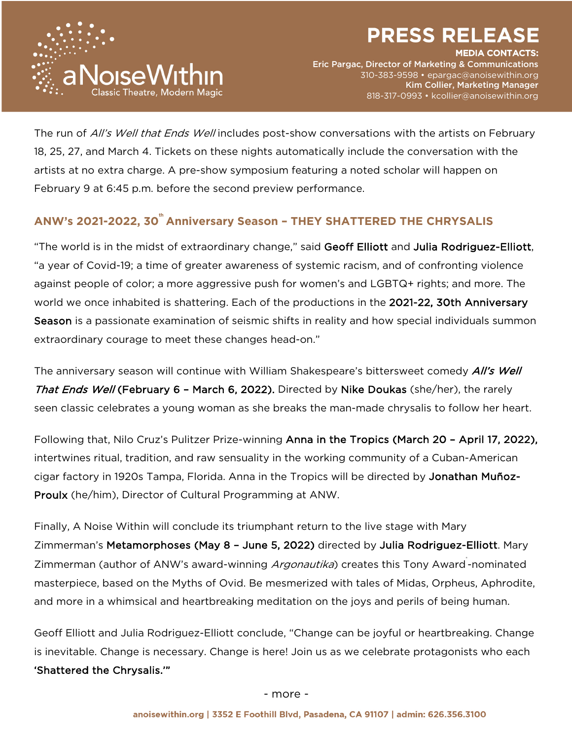

IEDIA CONTACTS:



Eric Pargac, Director of Marketing & Communications 310-383-9598 • epargac@anoisewithin.org Kim Collier, Marketing Manager 818-317-0993 • kcollier@anoisewithin.org

The run of All's Well that Ends Well includes post-show conversations with the artists on February 18, 25, 27, and March 4. Tickets on these nights automatically include the conversation with the artists at no extra charge. A pre-show symposium featuring a noted scholar will happen on February 9 at 6:45 p.m. before the second preview performance.

# **ANW's 2021-2022, 30<sup>th</sup> Anniversary Season - THEY SHATTERED THE CHRYSALIS**

"The world is in the midst of extraordinary change," said Geoff Elliott and Julia Rodriguez-Elliott, "a year of Covid-19; a time of greater awareness of systemic racism, and of confronting violence against people of color; a more aggressive push for women's and LGBTQ+ rights; and more. The world we once inhabited is shattering. Each of the productions in the 2021-22, 30th Anniversary Season is a passionate examination of seismic shifts in reality and how special individuals summon extraordinary courage to meet these changes head-on."

The anniversary season will continue with William Shakespeare's bittersweet comedy *All's Well* That Ends Well (February 6 - March 6, 2022). Directed by Nike Doukas (she/her), the rarely seen classic celebrates a young woman as she breaks the man-made chrysalis to follow her heart.

Following that, Nilo Cruz's Pulitzer Prize-winning Anna in the Tropics (March 20 – April 17, 2022), intertwines ritual, tradition, and raw sensuality in the working community of a Cuban-American cigar factory in 1920s Tampa, Florida. Anna in the Tropics will be directed by Jonathan Muñoz-Proulx (he/him), Director of Cultural Programming at ANW.

Finally, A Noise Within will conclude its triumphant return to the live stage with Mary Zimmerman's Metamorphoses (May 8 - June 5, 2022) directed by Julia Rodriguez-Elliott. Mary Zimmerman (author of ANW's award-winning *Argonautika*) creates this Tony Award-nominated masterpiece, based on the Myths of Ovid. Be mesmerized with tales of Midas, Orpheus, Aphrodite, and more in a whimsical and heartbreaking meditation on the joys and perils of being human.

Geoff Elliott and Julia Rodriguez-Elliott conclude, "Change can be joyful or heartbreaking. Change is inevitable. Change is necessary. Change is here! Join us as we celebrate protagonists who each 'Shattered the Chrysalis.'"